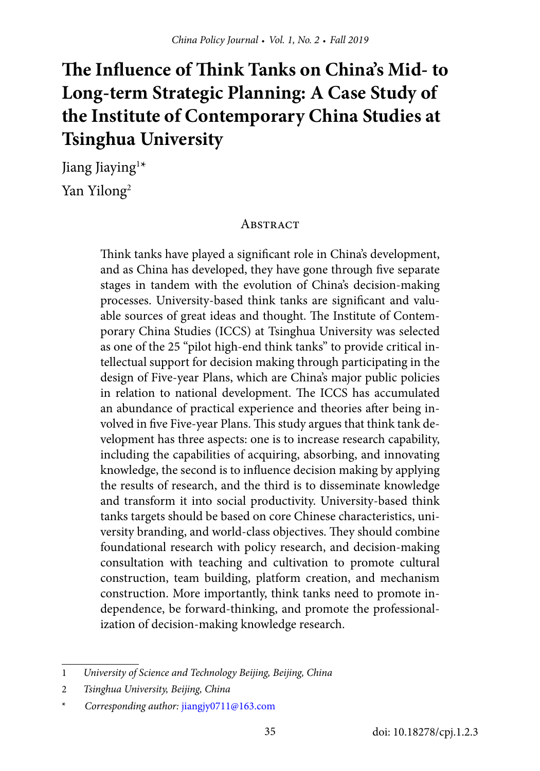# **The Influence of Think Tanks on China's Mid- to Long-term Strategic Planning: A Case Study of the Institute of Contemporary China Studies at Tsinghua University**

Jiang Jiaying<sup>1\*</sup> Yan Yilong<sup>2</sup>

#### **ABSTRACT**

Think tanks have played a significant role in China's development, and as China has developed, they have gone through five separate stages in tandem with the evolution of China's decision-making processes. University-based think tanks are significant and valuable sources of great ideas and thought. The Institute of Contemporary China Studies (ICCS) at Tsinghua University was selected as one of the 25 "pilot high-end think tanks" to provide critical intellectual support for decision making through participating in the design of Five-year Plans, which are China's major public policies in relation to national development. The ICCS has accumulated an abundance of practical experience and theories after being involved in five Five-year Plans. This study argues that think tank development has three aspects: one is to increase research capability, including the capabilities of acquiring, absorbing, and innovating knowledge, the second is to influence decision making by applying the results of research, and the third is to disseminate knowledge and transform it into social productivity. University-based think tanks targets should be based on core Chinese characteristics, university branding, and world-class objectives. They should combine foundational research with policy research, and decision-making consultation with teaching and cultivation to promote cultural construction, team building, platform creation, and mechanism construction. More importantly, think tanks need to promote independence, be forward-thinking, and promote the professionalization of decision-making knowledge research.

<sup>1</sup> *University of Science and Technology Beijing, Beijing, China*

<sup>2</sup> *Tsinghua University, Beijing, China*

<sup>\*</sup> *Corresponding author:* [jiangjy0711@163.com](mailto:jiangjy0711@163.com)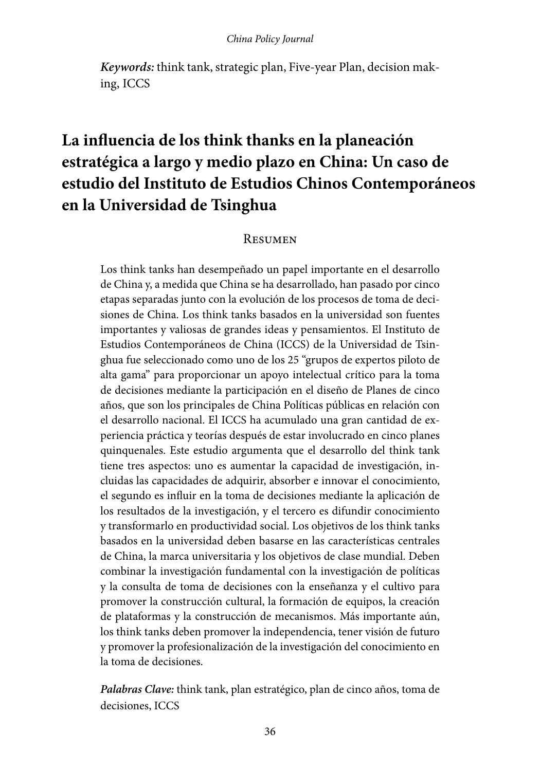*Keywords:* think tank, strategic plan, Five-year Plan, decision making, ICCS

## **La influencia de los think thanks en la planeación estratégica a largo y medio plazo en China: Un caso de estudio del Instituto de Estudios Chinos Contemporáneos en la Universidad de Tsinghua**

#### **RESUMEN**

Los think tanks han desempeñado un papel importante en el desarrollo de China y, a medida que China se ha desarrollado, han pasado por cinco etapas separadas junto con la evolución de los procesos de toma de decisiones de China. Los think tanks basados en la universidad son fuentes importantes y valiosas de grandes ideas y pensamientos. El Instituto de Estudios Contemporáneos de China (ICCS) de la Universidad de Tsinghua fue seleccionado como uno de los 25 "grupos de expertos piloto de alta gama" para proporcionar un apoyo intelectual crítico para la toma de decisiones mediante la participación en el diseño de Planes de cinco años, que son los principales de China Políticas públicas en relación con el desarrollo nacional. El ICCS ha acumulado una gran cantidad de experiencia práctica y teorías después de estar involucrado en cinco planes quinquenales. Este estudio argumenta que el desarrollo del think tank tiene tres aspectos: uno es aumentar la capacidad de investigación, incluidas las capacidades de adquirir, absorber e innovar el conocimiento, el segundo es influir en la toma de decisiones mediante la aplicación de los resultados de la investigación, y el tercero es difundir conocimiento y transformarlo en productividad social. Los objetivos de los think tanks basados en la universidad deben basarse en las características centrales de China, la marca universitaria y los objetivos de clase mundial. Deben combinar la investigación fundamental con la investigación de políticas y la consulta de toma de decisiones con la enseñanza y el cultivo para promover la construcción cultural, la formación de equipos, la creación de plataformas y la construcción de mecanismos. Más importante aún, los think tanks deben promover la independencia, tener visión de futuro y promover la profesionalización de la investigación del conocimiento en la toma de decisiones.

*Palabras Clave:* think tank, plan estratégico, plan de cinco años, toma de decisiones, ICCS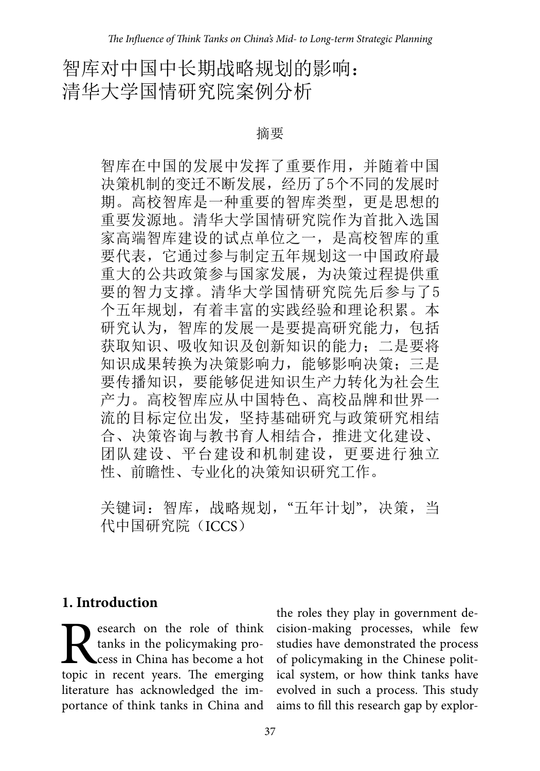## 智库对中国中长期战略规划的影响: 清华大学国情研究院案例分析

摘要

智库在中国的发展中发挥了重要作用,并随着中国 决策机制的变迁不断发展,经历了5个不同的发展时 期。高校智库是一种重要的智库类型,更是思想的 重要发源地。清华大学国情研究院作为首批入选国 家高端智库建设的试点单位之一,是高校智库的重 要代表,它通过参与制定五年规划这一中国政府最 重大的公共政策参与国家发展,为决策过程提供重 要的智力支撑。清华大学国情研究院先后参与了5 个五年规划,有着丰富的实践经验和理论积累。本 研究认为,智库的发展一是要提高研究能力,包括 获取知识、吸收知识及创新知识的能力;二是要将 知识成果转换为决策影响力, 能够影响决策;三是 要传播知识,要能够促进知识生产力转化为社会生 产力。高校智库应从中国特色、高校品牌和世界一 流的目标定位出发,坚持基础研究与政策研究相结 合、决策咨询与教书育人相结合,推进文化建设、 团队建设、平台建设和机制建设,更要进行独立 性、前瞻性、专业化的决策知识研究工作。

关键词: 智库,战略规划,"五年计划",决策,当 代中国研究院(ICCS)

#### **1. Introduction**

Research on the role of think<br>tanks in the policymaking pro-<br>topic in recent years. The emerging tanks in the policymaking process in China has become a hot literature has acknowledged the importance of think tanks in China and

the roles they play in government decision-making processes, while few studies have demonstrated the process of policymaking in the Chinese political system, or how think tanks have evolved in such a process. This study aims to fill this research gap by explor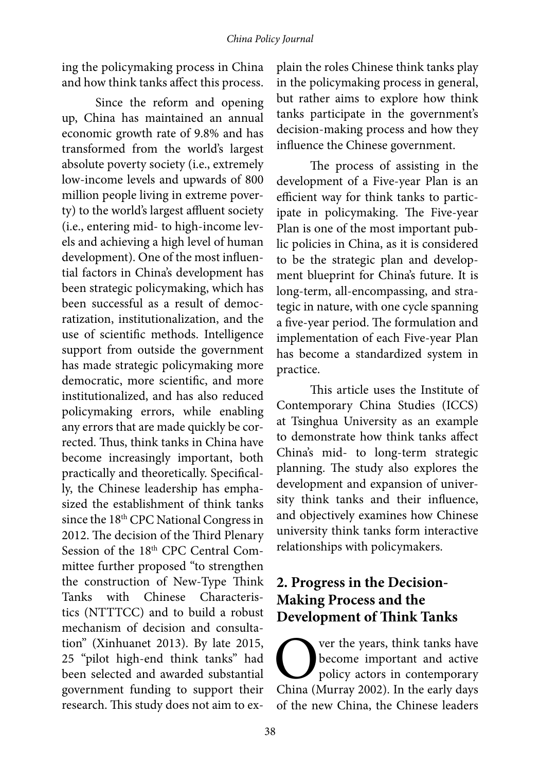ing the policymaking process in China and how think tanks affect this process.

Since the reform and opening up, China has maintained an annual economic growth rate of 9.8% and has transformed from the world's largest absolute poverty society (i.e., extremely low-income levels and upwards of 800 million people living in extreme poverty) to the world's largest affluent society (i.e., entering mid- to high-income levels and achieving a high level of human development). One of the most influential factors in China's development has been strategic policymaking, which has been successful as a result of democratization, institutionalization, and the use of scientific methods. Intelligence support from outside the government has made strategic policymaking more democratic, more scientific, and more institutionalized, and has also reduced policymaking errors, while enabling any errors that are made quickly be corrected. Thus, think tanks in China have become increasingly important, both practically and theoretically. Specifically, the Chinese leadership has emphasized the establishment of think tanks since the 18th CPC National Congress in 2012. The decision of the Third Plenary Session of the 18<sup>th</sup> CPC Central Committee further proposed "to strengthen the construction of New-Type Think Tanks with Chinese Characteristics (NTTTCC) and to build a robust mechanism of decision and consultation" (Xinhuanet 2013). By late 2015, 25 "pilot high-end think tanks" had been selected and awarded substantial government funding to support their research. This study does not aim to explain the roles Chinese think tanks play in the policymaking process in general, but rather aims to explore how think tanks participate in the government's decision-making process and how they influence the Chinese government.

The process of assisting in the development of a Five-year Plan is an efficient way for think tanks to participate in policymaking. The Five-year Plan is one of the most important public policies in China, as it is considered to be the strategic plan and development blueprint for China's future. It is long-term, all-encompassing, and strategic in nature, with one cycle spanning a five-year period. The formulation and implementation of each Five-year Plan has become a standardized system in practice.

This article uses the Institute of Contemporary China Studies (ICCS) at Tsinghua University as an example to demonstrate how think tanks affect China's mid- to long-term strategic planning. The study also explores the development and expansion of university think tanks and their influence, and objectively examines how Chinese university think tanks form interactive relationships with policymakers.

### **2. Progress in the Decision-Making Process and the Development of Think Tanks**

Over the years, think tanks have<br>become important and active<br>policy actors in contemporary<br>China (Murray 2002). In the early days become important and active policy actors in contemporary China (Murray 2002). In the early days of the new China, the Chinese leaders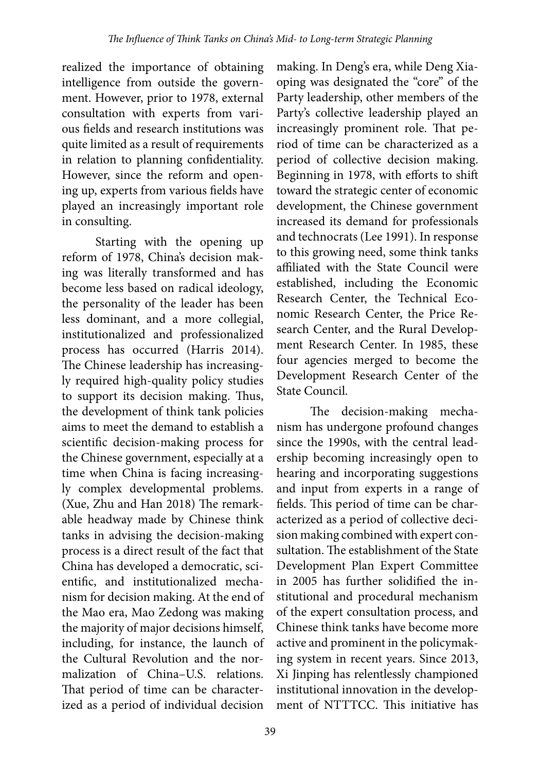realized the importance of obtaining intelligence from outside the government. However, prior to 1978, external consultation with experts from various fields and research institutions was quite limited as a result of requirements in relation to planning confidentiality. However, since the reform and opening up, experts from various fields have played an increasingly important role in consulting.

Starting with the opening up reform of 1978, China's decision making was literally transformed and has become less based on radical ideology, the personality of the leader has been less dominant, and a more collegial, institutionalized and professionalized process has occurred (Harris 2014). The Chinese leadership has increasingly required high-quality policy studies to support its decision making. Thus, the development of think tank policies aims to meet the demand to establish a scientific decision-making process for the Chinese government, especially at a time when China is facing increasingly complex developmental problems. (Xue, Zhu and Han 2018) The remarkable headway made by Chinese think tanks in advising the decision-making process is a direct result of the fact that China has developed a democratic, scientific, and institutionalized mechanism for decision making. At the end of the Mao era, Mao Zedong was making the majority of major decisions himself, including, for instance, the launch of the Cultural Revolution and the normalization of China–U.S. relations. That period of time can be characterized as a period of individual decision

making. In Deng's era, while Deng Xiaoping was designated the "core" of the Party leadership, other members of the Party's collective leadership played an increasingly prominent role. That period of time can be characterized as a period of collective decision making. Beginning in 1978, with efforts to shift toward the strategic center of economic development, the Chinese government increased its demand for professionals and technocrats (Lee 1991). In response to this growing need, some think tanks affiliated with the State Council were established, including the Economic Research Center, the Technical Economic Research Center, the Price Research Center, and the Rural Development Research Center. In 1985, these four agencies merged to become the Development Research Center of the State Council.

The decision-making mechanism has undergone profound changes since the 1990s, with the central leadership becoming increasingly open to hearing and incorporating suggestions and input from experts in a range of fields. This period of time can be characterized as a period of collective decision making combined with expert consultation. The establishment of the State Development Plan Expert Committee in 2005 has further solidified the institutional and procedural mechanism of the expert consultation process, and Chinese think tanks have become more active and prominent in the policymaking system in recent years. Since 2013, Xi Jinping has relentlessly championed institutional innovation in the development of NTTTCC. This initiative has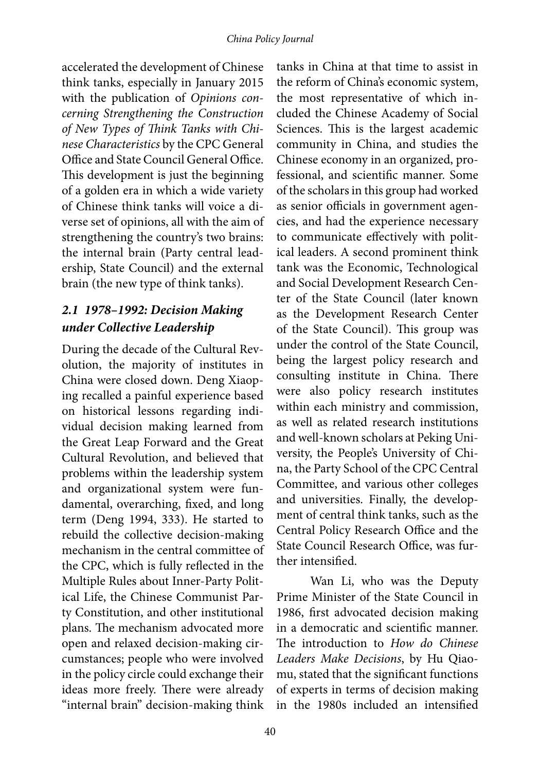accelerated the development of Chinese think tanks, especially in January 2015 with the publication of *Opinions concerning Strengthening the Construction of New Types of Think Tanks with Chinese Characteristics* by the CPC General Office and State Council General Office. This development is just the beginning of a golden era in which a wide variety of Chinese think tanks will voice a diverse set of opinions, all with the aim of strengthening the country's two brains: the internal brain (Party central leadership, State Council) and the external brain (the new type of think tanks).

#### *2.1 1978–1992: Decision Making under Collective Leadership*

During the decade of the Cultural Revolution, the majority of institutes in China were closed down. Deng Xiaoping recalled a painful experience based on historical lessons regarding individual decision making learned from the Great Leap Forward and the Great Cultural Revolution, and believed that problems within the leadership system and organizational system were fundamental, overarching, fixed, and long term (Deng 1994, 333). He started to rebuild the collective decision-making mechanism in the central committee of the CPC, which is fully reflected in the Multiple Rules about Inner-Party Political Life, the Chinese Communist Party Constitution, and other institutional plans. The mechanism advocated more open and relaxed decision-making circumstances; people who were involved in the policy circle could exchange their ideas more freely. There were already "internal brain" decision-making think

tanks in China at that time to assist in the reform of China's economic system, the most representative of which included the Chinese Academy of Social Sciences. This is the largest academic community in China, and studies the Chinese economy in an organized, professional, and scientific manner. Some of the scholars in this group had worked as senior officials in government agencies, and had the experience necessary to communicate effectively with political leaders. A second prominent think tank was the Economic, Technological and Social Development Research Center of the State Council (later known as the Development Research Center of the State Council). This group was under the control of the State Council, being the largest policy research and consulting institute in China. There were also policy research institutes within each ministry and commission, as well as related research institutions and well-known scholars at Peking University, the People's University of China, the Party School of the CPC Central Committee, and various other colleges and universities. Finally, the development of central think tanks, such as the Central Policy Research Office and the State Council Research Office, was further intensified.

Wan Li, who was the Deputy Prime Minister of the State Council in 1986, first advocated decision making in a democratic and scientific manner. The introduction to *How do Chinese Leaders Make Decisions*, by Hu Qiaomu, stated that the significant functions of experts in terms of decision making in the 1980s included an intensified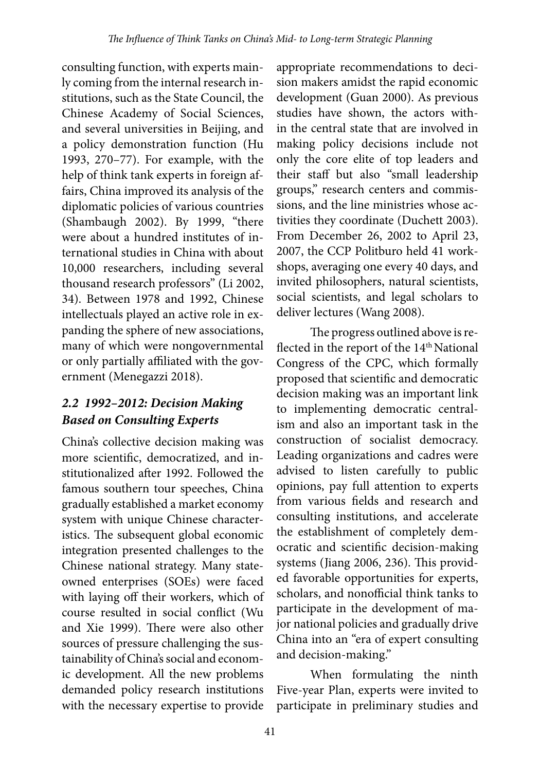consulting function, with experts mainly coming from the internal research institutions, such as the State Council, the Chinese Academy of Social Sciences, and several universities in Beijing, and a policy demonstration function (Hu 1993, 270–77). For example, with the help of think tank experts in foreign affairs, China improved its analysis of the diplomatic policies of various countries (Shambaugh 2002). By 1999, "there were about a hundred institutes of international studies in China with about 10,000 researchers, including several thousand research professors" (Li 2002, 34). Between 1978 and 1992, Chinese intellectuals played an active role in expanding the sphere of new associations, many of which were nongovernmental or only partially affiliated with the government (Menegazzi 2018).

#### *2.2 1992–2012: Decision Making Based on Consulting Experts*

China's collective decision making was more scientific, democratized, and institutionalized after 1992. Followed the famous southern tour speeches, China gradually established a market economy system with unique Chinese characteristics. The subsequent global economic integration presented challenges to the Chinese national strategy. Many stateowned enterprises (SOEs) were faced with laying off their workers, which of course resulted in social conflict (Wu and Xie 1999). There were also other sources of pressure challenging the sustainability of China's social and economic development. All the new problems demanded policy research institutions with the necessary expertise to provide

appropriate recommendations to decision makers amidst the rapid economic development (Guan 2000). As previous studies have shown, the actors within the central state that are involved in making policy decisions include not only the core elite of top leaders and their staff but also "small leadership groups," research centers and commissions, and the line ministries whose activities they coordinate (Duchett 2003). From December 26, 2002 to April 23, 2007, the CCP Politburo held 41 workshops, averaging one every 40 days, and invited philosophers, natural scientists, social scientists, and legal scholars to deliver lectures (Wang 2008).

The progress outlined above is reflected in the report of the 14<sup>th</sup> National Congress of the CPC, which formally proposed that scientific and democratic decision making was an important link to implementing democratic centralism and also an important task in the construction of socialist democracy. Leading organizations and cadres were advised to listen carefully to public opinions, pay full attention to experts from various fields and research and consulting institutions, and accelerate the establishment of completely democratic and scientific decision-making systems (Jiang 2006, 236). This provided favorable opportunities for experts, scholars, and nonofficial think tanks to participate in the development of major national policies and gradually drive China into an "era of expert consulting and decision-making."

When formulating the ninth Five-year Plan, experts were invited to participate in preliminary studies and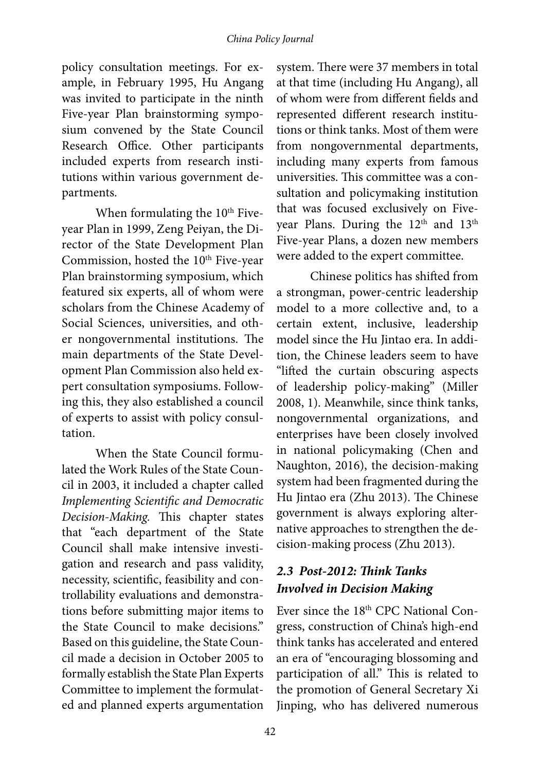policy consultation meetings. For example, in February 1995, Hu Angang was invited to participate in the ninth Five-year Plan brainstorming symposium convened by the State Council Research Office. Other participants included experts from research institutions within various government departments.

When formulating the  $10<sup>th</sup>$  Fiveyear Plan in 1999, Zeng Peiyan, the Director of the State Development Plan Commission, hosted the 10<sup>th</sup> Five-year Plan brainstorming symposium, which featured six experts, all of whom were scholars from the Chinese Academy of Social Sciences, universities, and other nongovernmental institutions. The main departments of the State Development Plan Commission also held expert consultation symposiums. Following this, they also established a council of experts to assist with policy consultation.

When the State Council formulated the Work Rules of the State Council in 2003, it included a chapter called *Implementing Scientific and Democratic Decision-Making.* This chapter states that "each department of the State Council shall make intensive investigation and research and pass validity, necessity, scientific, feasibility and controllability evaluations and demonstrations before submitting major items to the State Council to make decisions." Based on this guideline, the State Council made a decision in October 2005 to formally establish the State Plan Experts Committee to implement the formulated and planned experts argumentation

system. There were 37 members in total at that time (including Hu Angang), all of whom were from different fields and represented different research institutions or think tanks. Most of them were from nongovernmental departments, including many experts from famous universities. This committee was a consultation and policymaking institution that was focused exclusively on Fiveyear Plans. During the 12<sup>th</sup> and 13<sup>th</sup> Five-year Plans, a dozen new members were added to the expert committee.

Chinese politics has shifted from a strongman, power-centric leadership model to a more collective and, to a certain extent, inclusive, leadership model since the Hu Jintao era. In addition, the Chinese leaders seem to have "lifted the curtain obscuring aspects of leadership policy-making" (Miller 2008, 1). Meanwhile, since think tanks, nongovernmental organizations, and enterprises have been closely involved in national policymaking (Chen and Naughton, 2016), the decision-making system had been fragmented during the Hu Jintao era (Zhu 2013). The Chinese government is always exploring alternative approaches to strengthen the decision-making process (Zhu 2013).

#### *2.3 Post-2012: Think Tanks Involved in Decision Making*

Ever since the 18<sup>th</sup> CPC National Congress, construction of China's high-end think tanks has accelerated and entered an era of "encouraging blossoming and participation of all." This is related to the promotion of General Secretary Xi Jinping, who has delivered numerous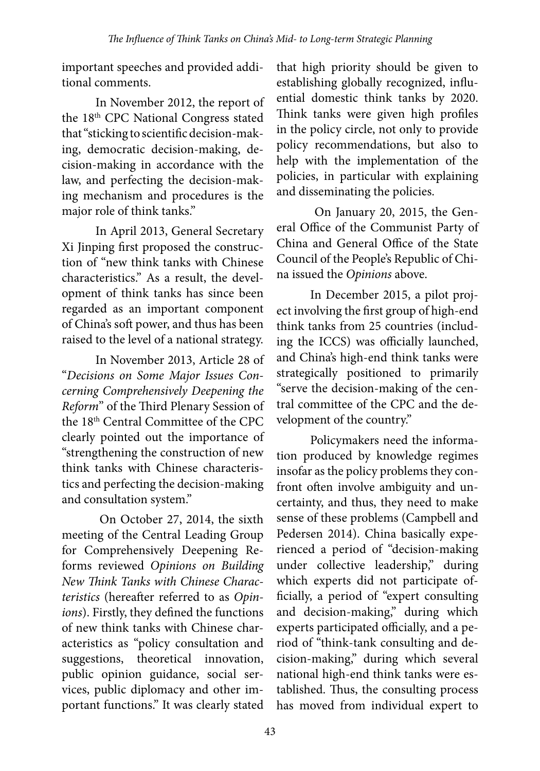important speeches and provided additional comments.

In November 2012, the report of the 18th CPC National Congress stated that "sticking to scientific decision-making, democratic decision-making, decision-making in accordance with the law, and perfecting the decision-making mechanism and procedures is the major role of think tanks."

In April 2013, General Secretary Xi Jinping first proposed the construction of "new think tanks with Chinese characteristics." As a result, the development of think tanks has since been regarded as an important component of China's soft power, and thus has been raised to the level of a national strategy.

In November 2013, Article 28 of "*Decisions on Some Major Issues Concerning Comprehensively Deepening the Reform*" of the Third Plenary Session of the 18<sup>th</sup> Central Committee of the CPC clearly pointed out the importance of "strengthening the construction of new think tanks with Chinese characteristics and perfecting the decision-making and consultation system."

 On October 27, 2014, the sixth meeting of the Central Leading Group for Comprehensively Deepening Reforms reviewed *Opinions on Building New Think Tanks with Chinese Characteristics* (hereafter referred to as *Opinions*). Firstly, they defined the functions of new think tanks with Chinese characteristics as "policy consultation and suggestions, theoretical innovation, public opinion guidance, social services, public diplomacy and other important functions." It was clearly stated

that high priority should be given to establishing globally recognized, influential domestic think tanks by 2020. Think tanks were given high profiles in the policy circle, not only to provide policy recommendations, but also to help with the implementation of the policies, in particular with explaining and disseminating the policies.

 On January 20, 2015, the General Office of the Communist Party of China and General Office of the State Council of the People's Republic of China issued the *Opinions* above.

In December 2015, a pilot project involving the first group of high-end think tanks from 25 countries (including the ICCS) was officially launched, and China's high-end think tanks were strategically positioned to primarily "serve the decision-making of the central committee of the CPC and the development of the country."

Policymakers need the information produced by knowledge regimes insofar as the policy problems they confront often involve ambiguity and uncertainty, and thus, they need to make sense of these problems (Campbell and Pedersen 2014). China basically experienced a period of "decision-making under collective leadership," during which experts did not participate officially, a period of "expert consulting and decision-making," during which experts participated officially, and a period of "think-tank consulting and decision-making," during which several national high-end think tanks were established. Thus, the consulting process has moved from individual expert to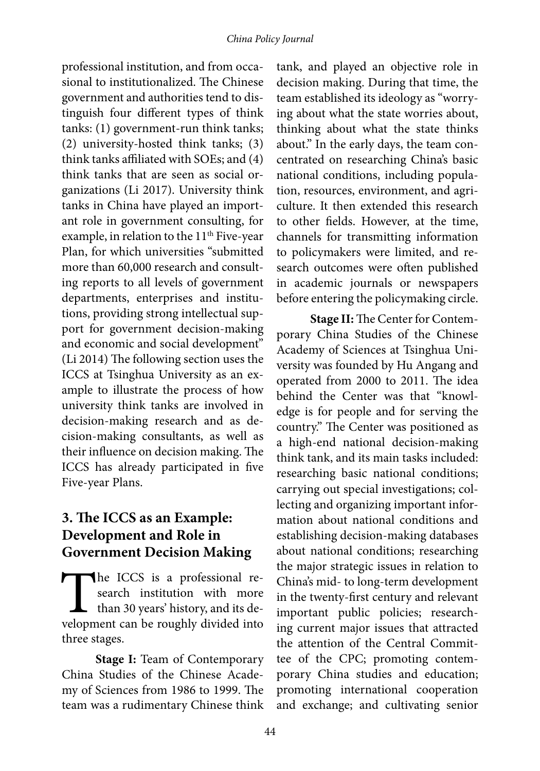professional institution, and from occasional to institutionalized. The Chinese government and authorities tend to distinguish four different types of think tanks: (1) government-run think tanks; (2) university-hosted think tanks; (3) think tanks affiliated with SOEs; and (4) think tanks that are seen as social organizations (Li 2017). University think tanks in China have played an important role in government consulting, for example, in relation to the  $11<sup>th</sup>$  Five-year Plan, for which universities "submitted more than 60,000 research and consulting reports to all levels of government departments, enterprises and institutions, providing strong intellectual support for government decision-making and economic and social development" (Li 2014) The following section uses the ICCS at Tsinghua University as an example to illustrate the process of how university think tanks are involved in decision-making research and as decision-making consultants, as well as their influence on decision making. The ICCS has already participated in five Five-year Plans.

#### **3. The ICCS as an Example: Development and Role in Government Decision Making**

The ICCS is a professional research institution with more than 30 years' history, and its development can be roughly divided into search institution with more  $\Box$  than 30 years' history, and its dethree stages.

**Stage I:** Team of Contemporary China Studies of the Chinese Academy of Sciences from 1986 to 1999. The team was a rudimentary Chinese think

tank, and played an objective role in decision making. During that time, the team established its ideology as "worrying about what the state worries about, thinking about what the state thinks about." In the early days, the team concentrated on researching China's basic national conditions, including population, resources, environment, and agriculture. It then extended this research to other fields. However, at the time, channels for transmitting information to policymakers were limited, and research outcomes were often published in academic journals or newspapers before entering the policymaking circle.

**Stage II:** The Center for Contemporary China Studies of the Chinese Academy of Sciences at Tsinghua University was founded by Hu Angang and operated from 2000 to 2011. The idea behind the Center was that "knowledge is for people and for serving the country." The Center was positioned as a high-end national decision-making think tank, and its main tasks included: researching basic national conditions; carrying out special investigations; collecting and organizing important information about national conditions and establishing decision-making databases about national conditions; researching the major strategic issues in relation to China's mid- to long-term development in the twenty-first century and relevant important public policies; researching current major issues that attracted the attention of the Central Committee of the CPC; promoting contemporary China studies and education; promoting international cooperation and exchange; and cultivating senior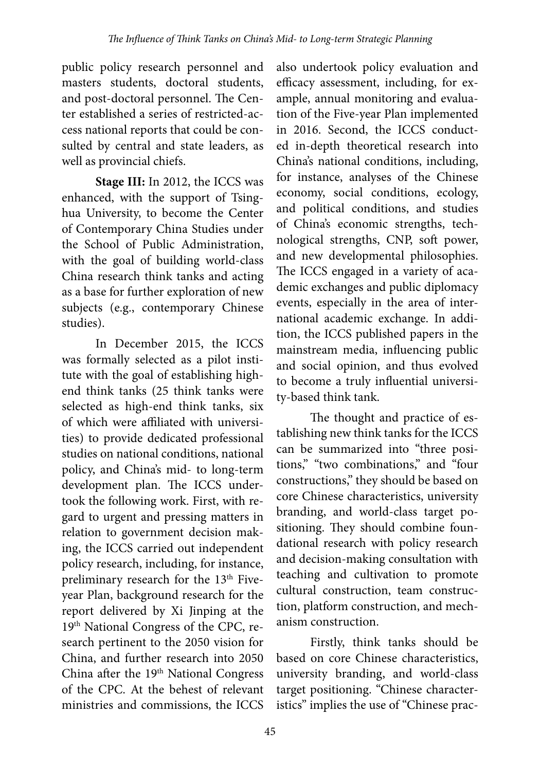public policy research personnel and masters students, doctoral students, and post-doctoral personnel. The Center established a series of restricted-access national reports that could be consulted by central and state leaders, as well as provincial chiefs.

**Stage III:** In 2012, the ICCS was enhanced, with the support of Tsinghua University, to become the Center of Contemporary China Studies under the School of Public Administration, with the goal of building world-class China research think tanks and acting as a base for further exploration of new subjects (e.g., contemporary Chinese studies).

In December 2015, the ICCS was formally selected as a pilot institute with the goal of establishing highend think tanks (25 think tanks were selected as high-end think tanks, six of which were affiliated with universities) to provide dedicated professional studies on national conditions, national policy, and China's mid- to long-term development plan. The ICCS undertook the following work. First, with regard to urgent and pressing matters in relation to government decision making, the ICCS carried out independent policy research, including, for instance, preliminary research for the 13<sup>th</sup> Fiveyear Plan, background research for the report delivered by Xi Jinping at the 19<sup>th</sup> National Congress of the CPC, research pertinent to the 2050 vision for China, and further research into 2050 China after the 19<sup>th</sup> National Congress of the CPC. At the behest of relevant ministries and commissions, the ICCS

also undertook policy evaluation and efficacy assessment, including, for example, annual monitoring and evaluation of the Five-year Plan implemented in 2016. Second, the ICCS conducted in-depth theoretical research into China's national conditions, including, for instance, analyses of the Chinese economy, social conditions, ecology, and political conditions, and studies of China's economic strengths, technological strengths, CNP, soft power, and new developmental philosophies. The ICCS engaged in a variety of academic exchanges and public diplomacy events, especially in the area of international academic exchange. In addition, the ICCS published papers in the mainstream media, influencing public and social opinion, and thus evolved to become a truly influential university-based think tank.

The thought and practice of establishing new think tanks for the ICCS can be summarized into "three positions," "two combinations," and "four constructions," they should be based on core Chinese characteristics, university branding, and world-class target positioning. They should combine foundational research with policy research and decision-making consultation with teaching and cultivation to promote cultural construction, team construction, platform construction, and mechanism construction.

Firstly, think tanks should be based on core Chinese characteristics, university branding, and world-class target positioning. "Chinese characteristics" implies the use of "Chinese prac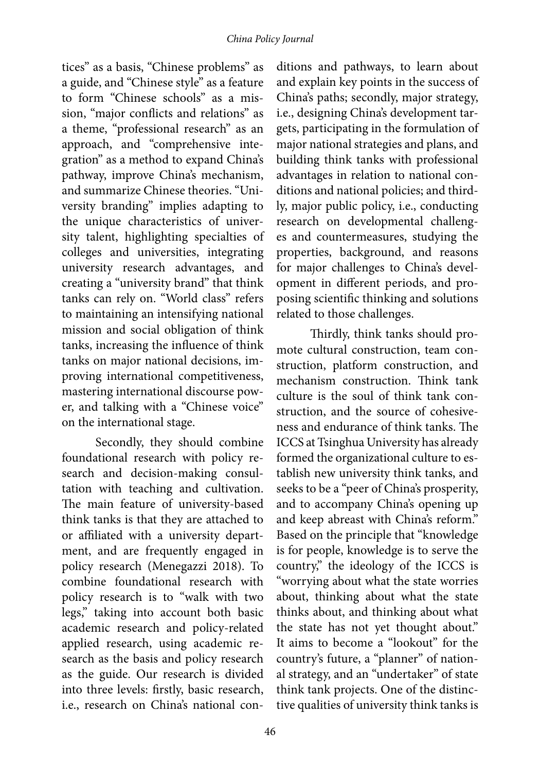tices" as a basis, "Chinese problems" as a guide, and "Chinese style" as a feature to form "Chinese schools" as a mission, "major conflicts and relations" as a theme, "professional research" as an approach, and "comprehensive integration" as a method to expand China's pathway, improve China's mechanism, and summarize Chinese theories. "University branding" implies adapting to the unique characteristics of university talent, highlighting specialties of colleges and universities, integrating university research advantages, and creating a "university brand" that think tanks can rely on. "World class" refers to maintaining an intensifying national mission and social obligation of think tanks, increasing the influence of think tanks on major national decisions, improving international competitiveness, mastering international discourse power, and talking with a "Chinese voice" on the international stage.

Secondly, they should combine foundational research with policy research and decision-making consultation with teaching and cultivation. The main feature of university-based think tanks is that they are attached to or affiliated with a university department, and are frequently engaged in policy research (Menegazzi 2018). To combine foundational research with policy research is to "walk with two legs," taking into account both basic academic research and policy-related applied research, using academic research as the basis and policy research as the guide. Our research is divided into three levels: firstly, basic research, i.e., research on China's national con-

ditions and pathways, to learn about and explain key points in the success of China's paths; secondly, major strategy, i.e., designing China's development targets, participating in the formulation of major national strategies and plans, and building think tanks with professional advantages in relation to national conditions and national policies; and thirdly, major public policy, i.e., conducting research on developmental challenges and countermeasures, studying the properties, background, and reasons for major challenges to China's development in different periods, and proposing scientific thinking and solutions related to those challenges.

Thirdly, think tanks should promote cultural construction, team construction, platform construction, and mechanism construction. Think tank culture is the soul of think tank construction, and the source of cohesiveness and endurance of think tanks. The ICCS at Tsinghua University has already formed the organizational culture to establish new university think tanks, and seeks to be a "peer of China's prosperity, and to accompany China's opening up and keep abreast with China's reform." Based on the principle that "knowledge is for people, knowledge is to serve the country," the ideology of the ICCS is "worrying about what the state worries about, thinking about what the state thinks about, and thinking about what the state has not yet thought about." It aims to become a "lookout" for the country's future, a "planner" of national strategy, and an "undertaker" of state think tank projects. One of the distinctive qualities of university think tanks is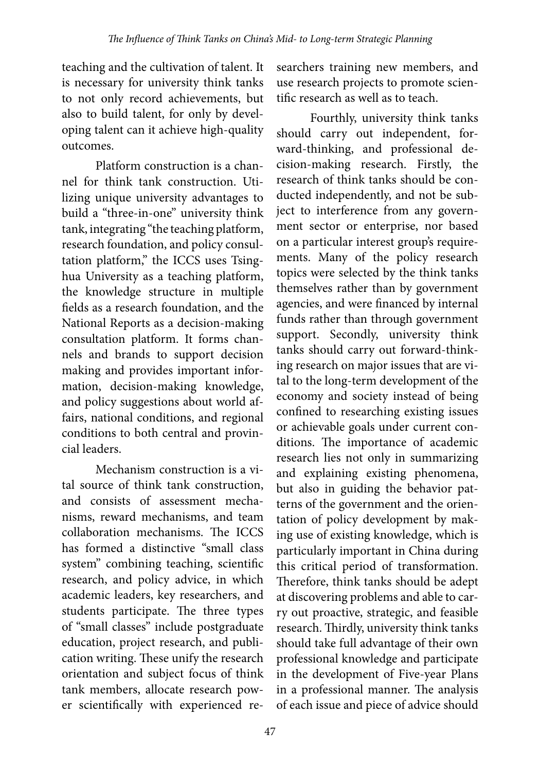teaching and the cultivation of talent. It is necessary for university think tanks to not only record achievements, but also to build talent, for only by developing talent can it achieve high-quality outcomes.

Platform construction is a channel for think tank construction. Utilizing unique university advantages to build a "three-in-one" university think tank, integrating "the teaching platform, research foundation, and policy consultation platform," the ICCS uses Tsinghua University as a teaching platform, the knowledge structure in multiple fields as a research foundation, and the National Reports as a decision-making consultation platform. It forms channels and brands to support decision making and provides important information, decision-making knowledge, and policy suggestions about world affairs, national conditions, and regional conditions to both central and provincial leaders.

Mechanism construction is a vital source of think tank construction, and consists of assessment mechanisms, reward mechanisms, and team collaboration mechanisms. The ICCS has formed a distinctive "small class system" combining teaching, scientific research, and policy advice, in which academic leaders, key researchers, and students participate. The three types of "small classes" include postgraduate education, project research, and publication writing. These unify the research orientation and subject focus of think tank members, allocate research power scientifically with experienced re-

searchers training new members, and use research projects to promote scientific research as well as to teach.

Fourthly, university think tanks should carry out independent, forward-thinking, and professional decision-making research. Firstly, the research of think tanks should be conducted independently, and not be subject to interference from any government sector or enterprise, nor based on a particular interest group's requirements. Many of the policy research topics were selected by the think tanks themselves rather than by government agencies, and were financed by internal funds rather than through government support. Secondly, university think tanks should carry out forward-thinking research on major issues that are vital to the long-term development of the economy and society instead of being confined to researching existing issues or achievable goals under current conditions. The importance of academic research lies not only in summarizing and explaining existing phenomena, but also in guiding the behavior patterns of the government and the orientation of policy development by making use of existing knowledge, which is particularly important in China during this critical period of transformation. Therefore, think tanks should be adept at discovering problems and able to carry out proactive, strategic, and feasible research. Thirdly, university think tanks should take full advantage of their own professional knowledge and participate in the development of Five-year Plans in a professional manner. The analysis of each issue and piece of advice should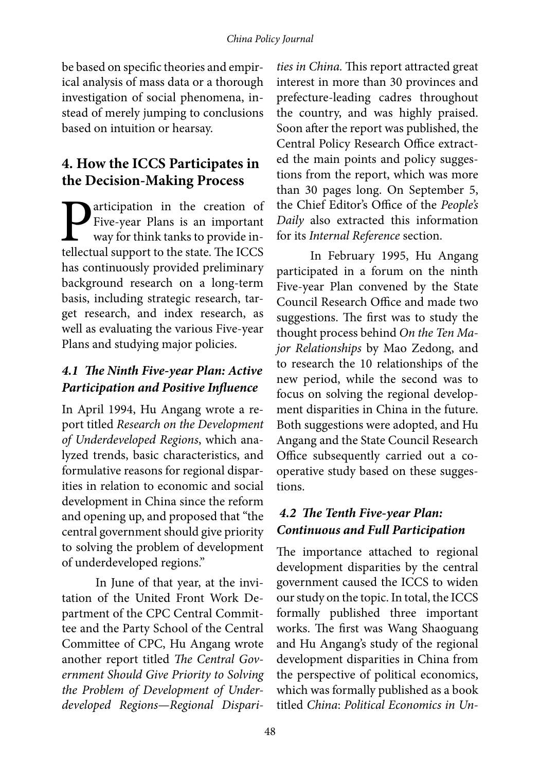be based on specific theories and empirical analysis of mass data or a thorough investigation of social phenomena, instead of merely jumping to conclusions based on intuition or hearsay.

#### **4. How the ICCS Participates in the Decision-Making Process**

**P**articipation in the creation of Five-year Plans is an important way for think tanks to provide intellectual support to the state. The ICCS Five-year Plans is an important way for think tanks to provide intellectual support to the state. The ICCS has continuously provided preliminary background research on a long-term basis, including strategic research, target research, and index research, as well as evaluating the various Five-year Plans and studying major policies.

#### *4.1 The Ninth Five-year Plan: Active Participation and Positive Influence*

In April 1994, Hu Angang wrote a report titled *Research on the Development of Underdeveloped Regions*, which analyzed trends, basic characteristics, and formulative reasons for regional disparities in relation to economic and social development in China since the reform and opening up, and proposed that "the central government should give priority to solving the problem of development of underdeveloped regions."

In June of that year, at the invitation of the United Front Work Department of the CPC Central Committee and the Party School of the Central Committee of CPC, Hu Angang wrote another report titled *The Central Government Should Give Priority to Solving the Problem of Development of Underdeveloped Regions—Regional Dispari-*

*ties in China.* This report attracted great interest in more than 30 provinces and prefecture-leading cadres throughout the country, and was highly praised. Soon after the report was published, the Central Policy Research Office extracted the main points and policy suggestions from the report, which was more than 30 pages long. On September 5, the Chief Editor's Office of the *People's Daily* also extracted this information for its *Internal Reference* section.

In February 1995, Hu Angang participated in a forum on the ninth Five-year Plan convened by the State Council Research Office and made two suggestions. The first was to study the thought process behind *On the Ten Major Relationships* by Mao Zedong, and to research the 10 relationships of the new period, while the second was to focus on solving the regional development disparities in China in the future. Both suggestions were adopted, and Hu Angang and the State Council Research Office subsequently carried out a cooperative study based on these suggestions.

#### *4.2 The Tenth Five-year Plan: Continuous and Full Participation*

The importance attached to regional development disparities by the central government caused the ICCS to widen our study on the topic. In total, the ICCS formally published three important works. The first was Wang Shaoguang and Hu Angang's study of the regional development disparities in China from the perspective of political economics, which was formally published as a book titled *China*: *Political Economics in Un-*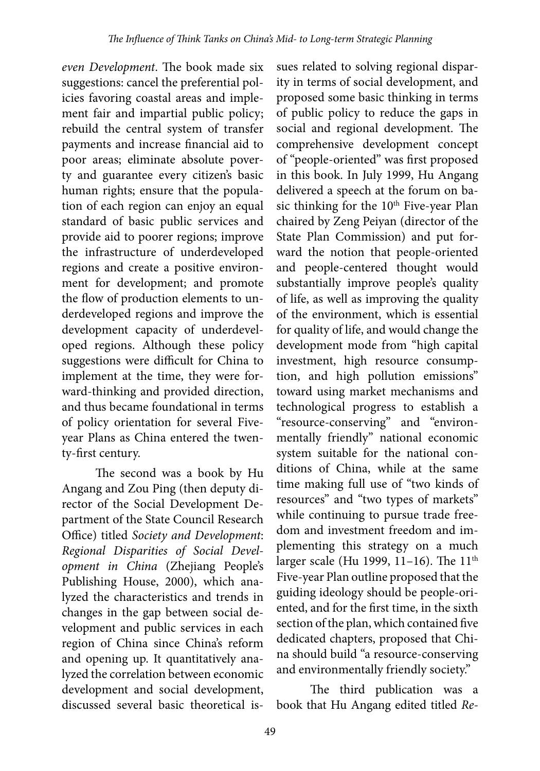*even Development*. The book made six suggestions: cancel the preferential policies favoring coastal areas and implement fair and impartial public policy; rebuild the central system of transfer payments and increase financial aid to poor areas; eliminate absolute poverty and guarantee every citizen's basic human rights; ensure that the population of each region can enjoy an equal standard of basic public services and provide aid to poorer regions; improve the infrastructure of underdeveloped regions and create a positive environment for development; and promote the flow of production elements to underdeveloped regions and improve the development capacity of underdeveloped regions. Although these policy suggestions were difficult for China to implement at the time, they were forward-thinking and provided direction, and thus became foundational in terms of policy orientation for several Fiveyear Plans as China entered the twenty-first century.

The second was a book by Hu Angang and Zou Ping (then deputy director of the Social Development Department of the State Council Research Office) titled *Society and Development*: *Regional Disparities of Social Development in China* (Zhejiang People's Publishing House, 2000), which analyzed the characteristics and trends in changes in the gap between social development and public services in each region of China since China's reform and opening up. It quantitatively analyzed the correlation between economic development and social development, discussed several basic theoretical is-

sues related to solving regional disparity in terms of social development, and proposed some basic thinking in terms of public policy to reduce the gaps in social and regional development. The comprehensive development concept of "people-oriented" was first proposed in this book. In July 1999, Hu Angang delivered a speech at the forum on basic thinking for the 10<sup>th</sup> Five-year Plan chaired by Zeng Peiyan (director of the State Plan Commission) and put forward the notion that people-oriented and people-centered thought would substantially improve people's quality of life, as well as improving the quality of the environment, which is essential for quality of life, and would change the development mode from "high capital investment, high resource consumption, and high pollution emissions" toward using market mechanisms and technological progress to establish a "resource-conserving" and "environmentally friendly" national economic system suitable for the national conditions of China, while at the same time making full use of "two kinds of resources" and "two types of markets" while continuing to pursue trade freedom and investment freedom and implementing this strategy on a much larger scale (Hu 1999, 11-16). The 11<sup>th</sup> Five-year Plan outline proposed that the guiding ideology should be people-oriented, and for the first time, in the sixth section of the plan, which contained five dedicated chapters, proposed that China should build "a resource-conserving and environmentally friendly society."

The third publication was a book that Hu Angang edited titled *Re-*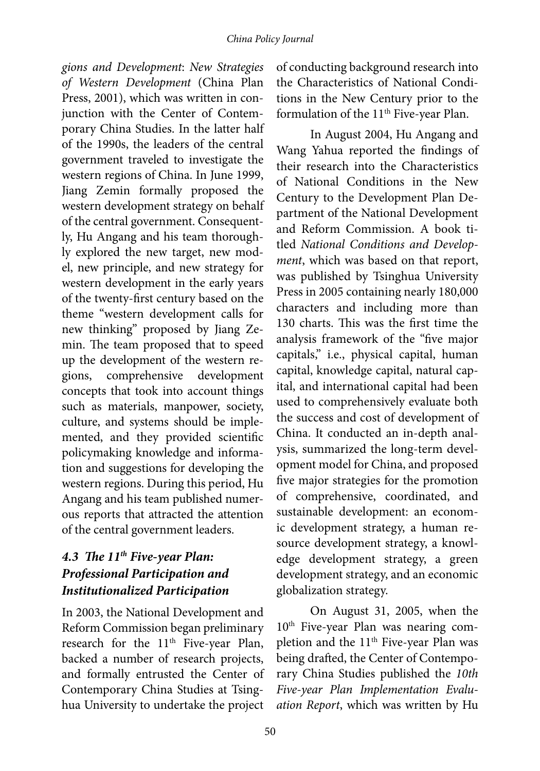*gions and Development*: *New Strategies of Western Development* (China Plan Press, 2001), which was written in conjunction with the Center of Contemporary China Studies. In the latter half of the 1990s, the leaders of the central government traveled to investigate the western regions of China. In June 1999, Jiang Zemin formally proposed the western development strategy on behalf of the central government. Consequently, Hu Angang and his team thoroughly explored the new target, new model, new principle, and new strategy for western development in the early years of the twenty-first century based on the theme "western development calls for new thinking" proposed by Jiang Zemin. The team proposed that to speed up the development of the western regions, comprehensive development concepts that took into account things such as materials, manpower, society, culture, and systems should be implemented, and they provided scientific policymaking knowledge and information and suggestions for developing the western regions. During this period, Hu Angang and his team published numerous reports that attracted the attention of the central government leaders.

#### *4.3 The 11th Five-year Plan: Professional Participation and Institutionalized Participation*

In 2003, the National Development and Reform Commission began preliminary research for the 11<sup>th</sup> Five-year Plan, backed a number of research projects, and formally entrusted the Center of Contemporary China Studies at Tsinghua University to undertake the project

of conducting background research into the Characteristics of National Conditions in the New Century prior to the formulation of the 11<sup>th</sup> Five-year Plan.

In August 2004, Hu Angang and Wang Yahua reported the findings of their research into the Characteristics of National Conditions in the New Century to the Development Plan Department of the National Development and Reform Commission. A book titled *National Conditions and Development*, which was based on that report, was published by Tsinghua University Press in 2005 containing nearly 180,000 characters and including more than 130 charts. This was the first time the analysis framework of the "five major capitals," i.e., physical capital, human capital, knowledge capital, natural capital, and international capital had been used to comprehensively evaluate both the success and cost of development of China. It conducted an in-depth analysis, summarized the long-term development model for China, and proposed five major strategies for the promotion of comprehensive, coordinated, and sustainable development: an economic development strategy, a human resource development strategy, a knowledge development strategy, a green development strategy, and an economic globalization strategy.

On August 31, 2005, when the 10<sup>th</sup> Five-year Plan was nearing completion and the 11<sup>th</sup> Five-year Plan was being drafted, the Center of Contemporary China Studies published the *10th Five-year Plan Implementation Evaluation Report*, which was written by Hu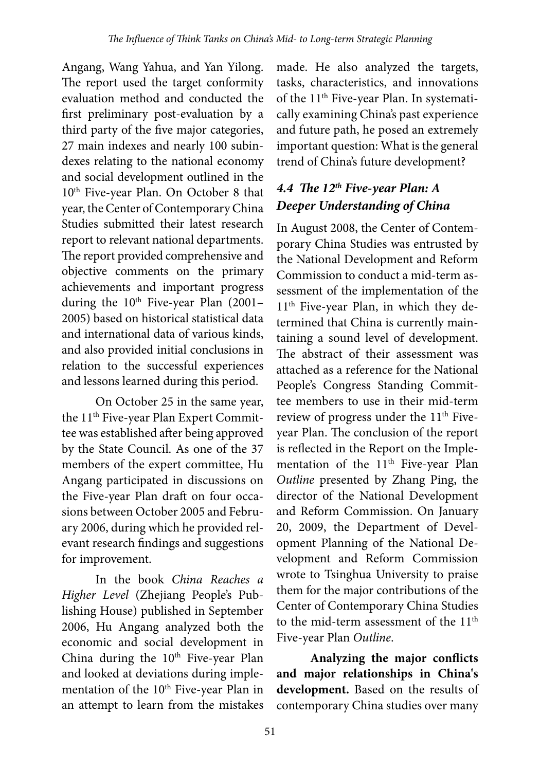Angang, Wang Yahua, and Yan Yilong. The report used the target conformity evaluation method and conducted the first preliminary post-evaluation by a third party of the five major categories, 27 main indexes and nearly 100 subindexes relating to the national economy and social development outlined in the 10<sup>th</sup> Five-year Plan. On October 8 that year, the Center of Contemporary China Studies submitted their latest research report to relevant national departments. The report provided comprehensive and objective comments on the primary achievements and important progress during the  $10^{th}$  Five-year Plan (2001– 2005) based on historical statistical data and international data of various kinds, and also provided initial conclusions in relation to the successful experiences and lessons learned during this period.

On October 25 in the same year, the 11<sup>th</sup> Five-year Plan Expert Committee was established after being approved by the State Council. As one of the 37 members of the expert committee, Hu Angang participated in discussions on the Five-year Plan draft on four occasions between October 2005 and February 2006, during which he provided relevant research findings and suggestions for improvement.

In the book *China Reaches a Higher Level* (Zhejiang People's Publishing House) published in September 2006, Hu Angang analyzed both the economic and social development in China during the 10<sup>th</sup> Five-year Plan and looked at deviations during implementation of the 10<sup>th</sup> Five-year Plan in an attempt to learn from the mistakes made. He also analyzed the targets, tasks, characteristics, and innovations of the 11<sup>th</sup> Five-year Plan. In systematically examining China's past experience and future path, he posed an extremely important question: What is the general trend of China's future development?

### *4.4 The 12th Five-year Plan: A Deeper Understanding of China*

In August 2008, the Center of Contemporary China Studies was entrusted by the National Development and Reform Commission to conduct a mid-term assessment of the implementation of the 11<sup>th</sup> Five-year Plan, in which they determined that China is currently maintaining a sound level of development. The abstract of their assessment was attached as a reference for the National People's Congress Standing Committee members to use in their mid-term review of progress under the 11<sup>th</sup> Fiveyear Plan. The conclusion of the report is reflected in the Report on the Implementation of the 11<sup>th</sup> Five-year Plan *Outline* presented by Zhang Ping, the director of the National Development and Reform Commission. On January 20, 2009, the Department of Development Planning of the National Development and Reform Commission wrote to Tsinghua University to praise them for the major contributions of the Center of Contemporary China Studies to the mid-term assessment of the 11<sup>th</sup> Five-year Plan *Outline*.

**Analyzing the major conflicts and major relationships in China's development.** Based on the results of contemporary China studies over many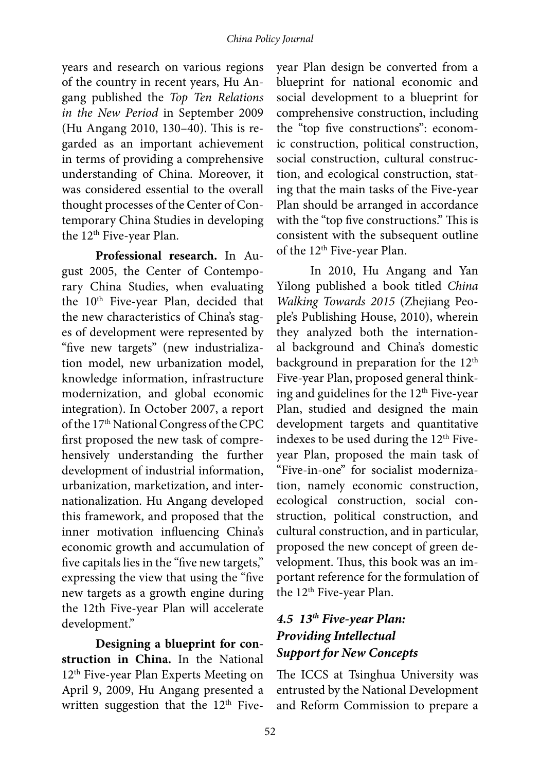years and research on various regions of the country in recent years, Hu Angang published the *Top Ten Relations in the New Period* in September 2009 (Hu Angang 2010, 130–40). This is regarded as an important achievement in terms of providing a comprehensive understanding of China. Moreover, it was considered essential to the overall thought processes of the Center of Contemporary China Studies in developing the 12<sup>th</sup> Five-year Plan.

**Professional research.** In August 2005, the Center of Contemporary China Studies, when evaluating the 10<sup>th</sup> Five-year Plan, decided that the new characteristics of China's stages of development were represented by "five new targets" (new industrialization model, new urbanization model, knowledge information, infrastructure modernization, and global economic integration). In October 2007, a report of the 17<sup>th</sup> National Congress of the CPC first proposed the new task of comprehensively understanding the further development of industrial information, urbanization, marketization, and internationalization. Hu Angang developed this framework, and proposed that the inner motivation influencing China's economic growth and accumulation of five capitals lies in the "five new targets," expressing the view that using the "five new targets as a growth engine during the 12th Five-year Plan will accelerate development."

**Designing a blueprint for construction in China.** In the National 12<sup>th</sup> Five-year Plan Experts Meeting on April 9, 2009, Hu Angang presented a written suggestion that the  $12<sup>th</sup>$  Five-

year Plan design be converted from a blueprint for national economic and social development to a blueprint for comprehensive construction, including the "top five constructions": economic construction, political construction, social construction, cultural construction, and ecological construction, stating that the main tasks of the Five-year Plan should be arranged in accordance with the "top five constructions." This is consistent with the subsequent outline of the 12<sup>th</sup> Five-year Plan.

In 2010, Hu Angang and Yan Yilong published a book titled *China Walking Towards 2015* (Zhejiang People's Publishing House, 2010), wherein they analyzed both the international background and China's domestic background in preparation for the 12<sup>th</sup> Five-year Plan, proposed general thinking and guidelines for the 12<sup>th</sup> Five-year Plan, studied and designed the main development targets and quantitative indexes to be used during the 12<sup>th</sup> Fiveyear Plan, proposed the main task of "Five-in-one" for socialist modernization, namely economic construction, ecological construction, social construction, political construction, and cultural construction, and in particular, proposed the new concept of green development. Thus, this book was an important reference for the formulation of the  $12<sup>th</sup>$  Five-year Plan.

#### *4.5 13th Five-year Plan: Providing Intellectual Support for New Concepts*

The ICCS at Tsinghua University was entrusted by the National Development and Reform Commission to prepare a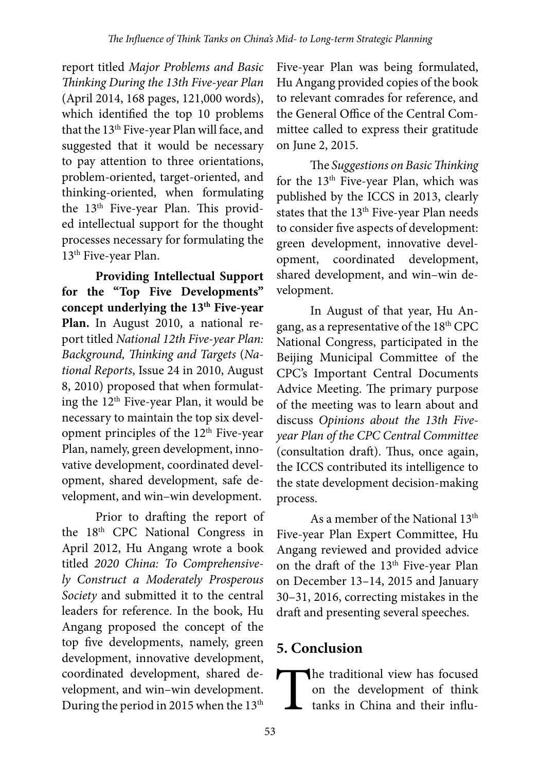report titled *Major Problems and Basic Thinking During the 13th Five-year Plan* (April 2014, 168 pages, 121,000 words), which identified the top 10 problems that the 13<sup>th</sup> Five-year Plan will face, and suggested that it would be necessary to pay attention to three orientations, problem-oriented, target-oriented, and thinking-oriented, when formulating the 13<sup>th</sup> Five-year Plan. This provided intellectual support for the thought processes necessary for formulating the 13<sup>th</sup> Five-year Plan.

**Providing Intellectual Support for the "Top Five Developments"**  concept underlying the 13<sup>th</sup> Five-year **Plan.** In August 2010, a national report titled *National 12th Five-year Plan: Background, Thinking and Targets* (*National Reports*, Issue 24 in 2010, August 8, 2010) proposed that when formulating the 12<sup>th</sup> Five-year Plan, it would be necessary to maintain the top six development principles of the 12<sup>th</sup> Five-year Plan, namely, green development, innovative development, coordinated development, shared development, safe development, and win–win development.

Prior to drafting the report of the 18th CPC National Congress in April 2012, Hu Angang wrote a book titled *2020 China: To Comprehensively Construct a Moderately Prosperous Society* and submitted it to the central leaders for reference. In the book, Hu Angang proposed the concept of the top five developments, namely, green development, innovative development, coordinated development, shared development, and win–win development. During the period in 2015 when the  $13<sup>th</sup>$ 

Five-year Plan was being formulated, Hu Angang provided copies of the book to relevant comrades for reference, and the General Office of the Central Committee called to express their gratitude on June 2, 2015.

The *Suggestions on Basic Thinking* for the 13th Five-year Plan, which was published by the ICCS in 2013, clearly states that the 13<sup>th</sup> Five-year Plan needs to consider five aspects of development: green development, innovative development, coordinated development, shared development, and win–win development.

In August of that year, Hu Angang, as a representative of the 18th CPC National Congress, participated in the Beijing Municipal Committee of the CPC's Important Central Documents Advice Meeting. The primary purpose of the meeting was to learn about and discuss *Opinions about the 13th Fiveyear Plan of the CPC Central Committee* (consultation draft). Thus, once again, the ICCS contributed its intelligence to the state development decision-making process.

As a member of the National 13<sup>th</sup> Five-year Plan Expert Committee, Hu Angang reviewed and provided advice on the draft of the 13<sup>th</sup> Five-year Plan on December 13–14, 2015 and January 30–31, 2016, correcting mistakes in the draft and presenting several speeches.

## **5. Conclusion**

The traditional view has focused<br>on the development of think<br>tanks in China and their influon the development of think tanks in China and their influ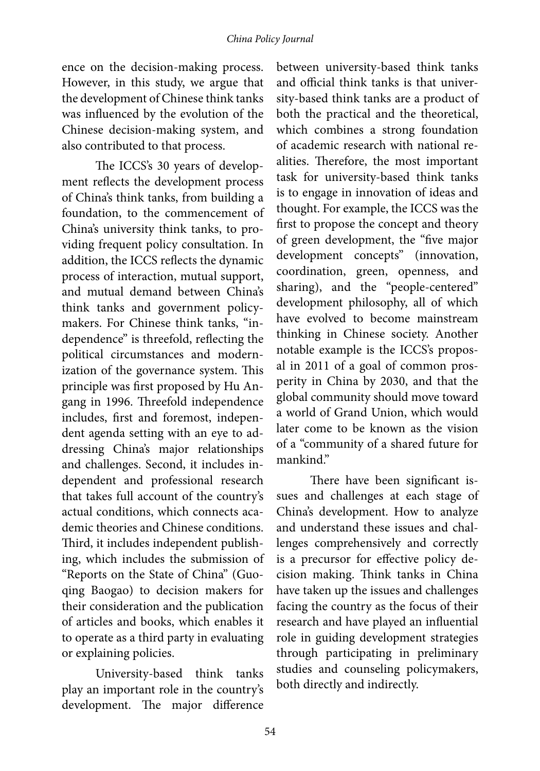ence on the decision-making process. However, in this study, we argue that the development of Chinese think tanks was influenced by the evolution of the Chinese decision-making system, and also contributed to that process.

The ICCS's 30 years of development reflects the development process of China's think tanks, from building a foundation, to the commencement of China's university think tanks, to providing frequent policy consultation. In addition, the ICCS reflects the dynamic process of interaction, mutual support, and mutual demand between China's think tanks and government policymakers. For Chinese think tanks, "independence" is threefold, reflecting the political circumstances and modernization of the governance system. This principle was first proposed by Hu Angang in 1996. Threefold independence includes, first and foremost, independent agenda setting with an eye to addressing China's major relationships and challenges. Second, it includes independent and professional research that takes full account of the country's actual conditions, which connects academic theories and Chinese conditions. Third, it includes independent publishing, which includes the submission of "Reports on the State of China" (Guoqing Baogao) to decision makers for their consideration and the publication of articles and books, which enables it to operate as a third party in evaluating or explaining policies.

University-based think tanks play an important role in the country's development. The major difference

between university-based think tanks and official think tanks is that university-based think tanks are a product of both the practical and the theoretical, which combines a strong foundation of academic research with national realities. Therefore, the most important task for university-based think tanks is to engage in innovation of ideas and thought. For example, the ICCS was the first to propose the concept and theory of green development, the "five major development concepts" (innovation, coordination, green, openness, and sharing), and the "people-centered" development philosophy, all of which have evolved to become mainstream thinking in Chinese society. Another notable example is the ICCS's proposal in 2011 of a goal of common prosperity in China by 2030, and that the global community should move toward a world of Grand Union, which would later come to be known as the vision of a "community of a shared future for mankind."

There have been significant issues and challenges at each stage of China's development. How to analyze and understand these issues and challenges comprehensively and correctly is a precursor for effective policy decision making. Think tanks in China have taken up the issues and challenges facing the country as the focus of their research and have played an influential role in guiding development strategies through participating in preliminary studies and counseling policymakers, both directly and indirectly.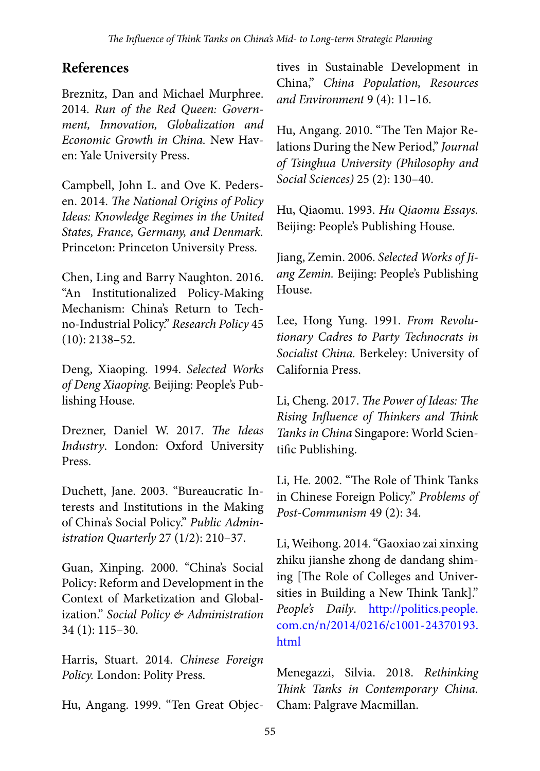#### **References**

Breznitz, Dan and Michael Murphree. 2014. *Run of the Red Queen: Government, Innovation, Globalization and Economic Growth in China.* New Haven: Yale University Press.

Campbell, John L. and Ove K. Pedersen. 2014. *The National Origins of Policy Ideas: Knowledge Regimes in the United States, France, Germany, and Denmark.* Princeton: Princeton University Press.

Chen, Ling and Barry Naughton. 2016. "An Institutionalized Policy-Making Mechanism: China's Return to Techno-Industrial Policy." *Research Policy* 45 (10): 2138–52.

Deng, Xiaoping. 1994. *Selected Works of Deng Xiaoping.* Beijing: People's Publishing House.

Drezner, Daniel W. 2017. *The Ideas Industry*. London: Oxford University Press.

Duchett, Jane. 2003. "Bureaucratic Interests and Institutions in the Making of China's Social Policy." *Public Administration Quarterly* 27 (1/2): 210–37.

Guan, Xinping. 2000. "China's Social Policy: Reform and Development in the Context of Marketization and Globalization." *Social Policy & Administration* 34 (1): 115–30.

Harris, Stuart. 2014. *Chinese Foreign Policy.* London: Polity Press.

Hu, Angang. 1999. "Ten Great Objec-

tives in Sustainable Development in China," *China Population, Resources and Environment* 9 (4): 11–16.

Hu, Angang. 2010. "The Ten Major Relations During the New Period," *Journal of Tsinghua University (Philosophy and Social Sciences)* 25 (2): 130–40.

Hu, Qiaomu. 1993. *Hu Qiaomu Essays.* Beijing: People's Publishing House.

Jiang, Zemin. 2006. *Selected Works of Jiang Zemin.* Beijing: People's Publishing House.

Lee, Hong Yung. 1991. *From Revolutionary Cadres to Party Technocrats in Socialist China.* Berkeley: University of California Press.

Li, Cheng. 2017. *The Power of Ideas: The Rising Influence of Thinkers and Think Tanks in China* Singapore: World Scientific Publishing.

Li, He. 2002. "The Role of Think Tanks in Chinese Foreign Policy." *Problems of Post-Communism* 49 (2): 34.

Li, Weihong. 2014. "Gaoxiao zai xinxing zhiku jianshe zhong de dandang shiming [The Role of Colleges and Universities in Building a New Think Tank]." *People's Daily*. [http://politics.people.](http://politics.people.com.cn/n/2014/0216/c1001-24370193.html) [com.cn/n/2014/0216/c1001-24370193.](http://politics.people.com.cn/n/2014/0216/c1001-24370193.html) [html](http://politics.people.com.cn/n/2014/0216/c1001-24370193.html)

Menegazzi, Silvia. 2018. *Rethinking Think Tanks in Contemporary China.* Cham: Palgrave Macmillan.